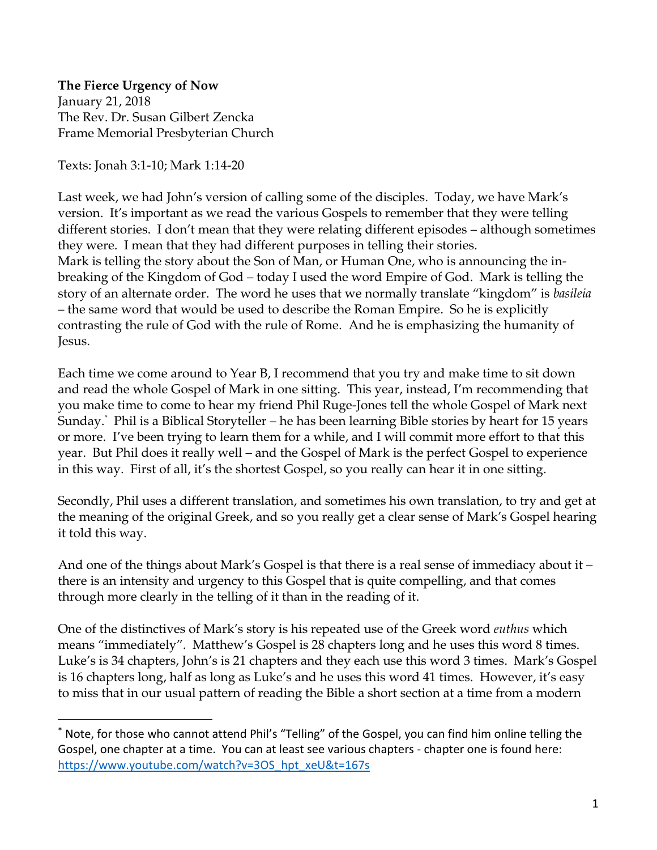**The Fierce Urgency of Now** January 21, 2018 The Rev. Dr. Susan Gilbert Zencka Frame Memorial Presbyterian Church

Texts: Jonah 3:1-10; Mark 1:14-20

 $\overline{a}$ 

Last week, we had John's version of calling some of the disciples. Today, we have Mark's version. It's important as we read the various Gospels to remember that they were telling different stories. I don't mean that they were relating different episodes – although sometimes they were. I mean that they had different purposes in telling their stories. Mark is telling the story about the Son of Man, or Human One, who is announcing the inbreaking of the Kingdom of God – today I used the word Empire of God. Mark is telling the story of an alternate order. The word he uses that we normally translate "kingdom" is *basileia* – the same word that would be used to describe the Roman Empire. So he is explicitly contrasting the rule of God with the rule of Rome. And he is emphasizing the humanity of Jesus.

Each time we come around to Year B, I recommend that you try and make time to sit down and read the whole Gospel of Mark in one sitting. This year, instead, I'm recommending that you make time to come to hear my friend Phil Ruge-Jones tell the whole Gospel of Mark next Sunday. \* Phil is a Biblical Storyteller – he has been learning Bible stories by heart for 15 years or more. I've been trying to learn them for a while, and I will commit more effort to that this year. But Phil does it really well – and the Gospel of Mark is the perfect Gospel to experience in this way. First of all, it's the shortest Gospel, so you really can hear it in one sitting.

Secondly, Phil uses a different translation, and sometimes his own translation, to try and get at the meaning of the original Greek, and so you really get a clear sense of Mark's Gospel hearing it told this way.

And one of the things about Mark's Gospel is that there is a real sense of immediacy about it – there is an intensity and urgency to this Gospel that is quite compelling, and that comes through more clearly in the telling of it than in the reading of it.

One of the distinctives of Mark's story is his repeated use of the Greek word *euthus* which means "immediately". Matthew's Gospel is 28 chapters long and he uses this word 8 times. Luke's is 34 chapters, John's is 21 chapters and they each use this word 3 times. Mark's Gospel is 16 chapters long, half as long as Luke's and he uses this word 41 times. However, it's easy to miss that in our usual pattern of reading the Bible a short section at a time from a modern

<sup>\*</sup> Note, for those who cannot attend Phil's "Telling" of the Gospel, you can find him online telling the Gospel, one chapter at a time. You can at least see various chapters - chapter one is found here: [https://www.youtube.com/watch?v=3OS\\_hpt\\_xeU&t=167s](https://www.youtube.com/watch?v=3OS_hpt_xeU&t=167s)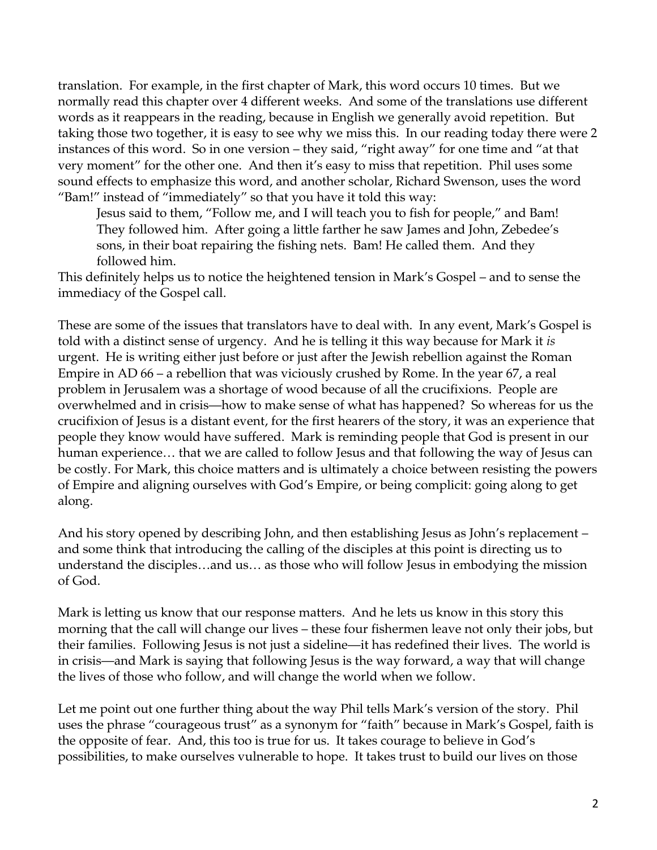translation. For example, in the first chapter of Mark, this word occurs 10 times. But we normally read this chapter over 4 different weeks. And some of the translations use different words as it reappears in the reading, because in English we generally avoid repetition. But taking those two together, it is easy to see why we miss this. In our reading today there were 2 instances of this word. So in one version – they said, "right away" for one time and "at that very moment" for the other one. And then it's easy to miss that repetition. Phil uses some sound effects to emphasize this word, and another scholar, Richard Swenson, uses the word "Bam!" instead of "immediately" so that you have it told this way:

Jesus said to them, "Follow me, and I will teach you to fish for people," and Bam! They followed him. After going a little farther he saw James and John, Zebedee's sons, in their boat repairing the fishing nets. Bam! He called them. And they followed him.

This definitely helps us to notice the heightened tension in Mark's Gospel – and to sense the immediacy of the Gospel call.

These are some of the issues that translators have to deal with. In any event, Mark's Gospel is told with a distinct sense of urgency. And he is telling it this way because for Mark it *is* urgent. He is writing either just before or just after the Jewish rebellion against the Roman Empire in AD 66 – a rebellion that was viciously crushed by Rome. In the year 67, a real problem in Jerusalem was a shortage of wood because of all the crucifixions. People are overwhelmed and in crisis—how to make sense of what has happened? So whereas for us the crucifixion of Jesus is a distant event, for the first hearers of the story, it was an experience that people they know would have suffered. Mark is reminding people that God is present in our human experience… that we are called to follow Jesus and that following the way of Jesus can be costly. For Mark, this choice matters and is ultimately a choice between resisting the powers of Empire and aligning ourselves with God's Empire, or being complicit: going along to get along.

And his story opened by describing John, and then establishing Jesus as John's replacement – and some think that introducing the calling of the disciples at this point is directing us to understand the disciples…and us… as those who will follow Jesus in embodying the mission of God.

Mark is letting us know that our response matters. And he lets us know in this story this morning that the call will change our lives – these four fishermen leave not only their jobs, but their families. Following Jesus is not just a sideline—it has redefined their lives. The world is in crisis—and Mark is saying that following Jesus is the way forward, a way that will change the lives of those who follow, and will change the world when we follow.

Let me point out one further thing about the way Phil tells Mark's version of the story. Phil uses the phrase "courageous trust" as a synonym for "faith" because in Mark's Gospel, faith is the opposite of fear. And, this too is true for us. It takes courage to believe in God's possibilities, to make ourselves vulnerable to hope. It takes trust to build our lives on those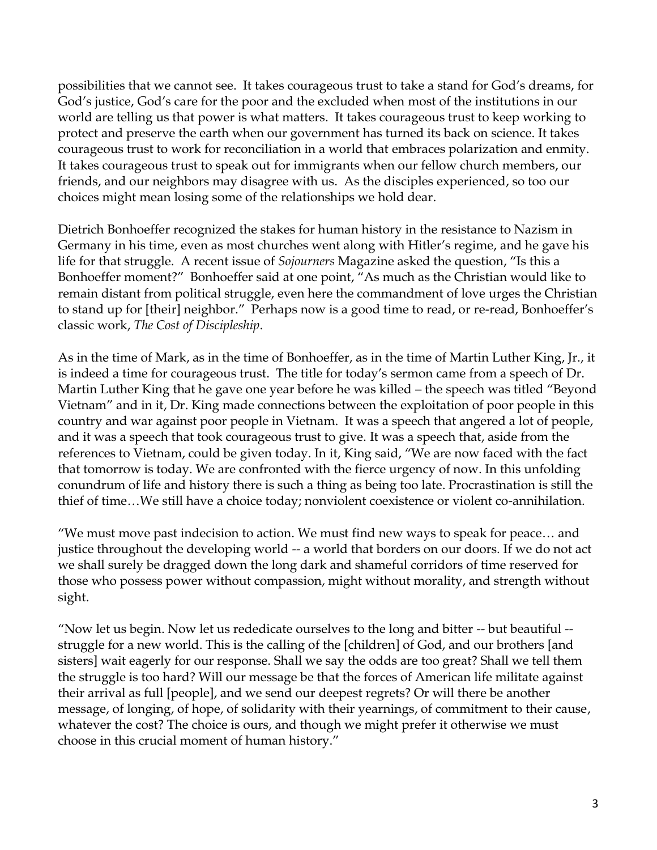possibilities that we cannot see. It takes courageous trust to take a stand for God's dreams, for God's justice, God's care for the poor and the excluded when most of the institutions in our world are telling us that power is what matters. It takes courageous trust to keep working to protect and preserve the earth when our government has turned its back on science. It takes courageous trust to work for reconciliation in a world that embraces polarization and enmity. It takes courageous trust to speak out for immigrants when our fellow church members, our friends, and our neighbors may disagree with us. As the disciples experienced, so too our choices might mean losing some of the relationships we hold dear.

Dietrich Bonhoeffer recognized the stakes for human history in the resistance to Nazism in Germany in his time, even as most churches went along with Hitler's regime, and he gave his life for that struggle. A recent issue of *Sojourners* Magazine asked the question, "Is this a Bonhoeffer moment?" Bonhoeffer said at one point, "As much as the Christian would like to remain distant from political struggle, even here the commandment of love urges the Christian to stand up for [their] neighbor." Perhaps now is a good time to read, or re-read, Bonhoeffer's classic work, *The Cost of Discipleship*.

As in the time of Mark, as in the time of Bonhoeffer, as in the time of Martin Luther King, Jr., it is indeed a time for courageous trust. The title for today's sermon came from a speech of Dr. Martin Luther King that he gave one year before he was killed – the speech was titled "Beyond Vietnam" and in it, Dr. King made connections between the exploitation of poor people in this country and war against poor people in Vietnam. It was a speech that angered a lot of people, and it was a speech that took courageous trust to give. It was a speech that, aside from the references to Vietnam, could be given today. In it, King said, "We are now faced with the fact that tomorrow is today. We are confronted with the fierce urgency of now. In this unfolding conundrum of life and history there is such a thing as being too late. Procrastination is still the thief of time…We still have a choice today; nonviolent coexistence or violent co-annihilation.

"We must move past indecision to action. We must find new ways to speak for peace… and justice throughout the developing world -- a world that borders on our doors. If we do not act we shall surely be dragged down the long dark and shameful corridors of time reserved for those who possess power without compassion, might without morality, and strength without sight.

"Now let us begin. Now let us rededicate ourselves to the long and bitter -- but beautiful - struggle for a new world. This is the calling of the [children] of God, and our brothers [and sisters] wait eagerly for our response. Shall we say the odds are too great? Shall we tell them the struggle is too hard? Will our message be that the forces of American life militate against their arrival as full [people], and we send our deepest regrets? Or will there be another message, of longing, of hope, of solidarity with their yearnings, of commitment to their cause, whatever the cost? The choice is ours, and though we might prefer it otherwise we must choose in this crucial moment of human history."